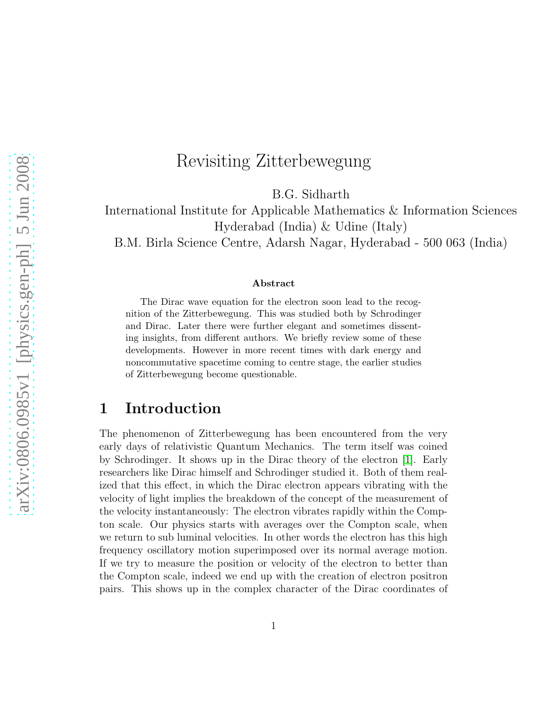# Revisiting Zitterbewegung

B.G. Sidharth

International Institute for Applicable Mathematics & Information Sciences Hyderabad (India) & Udine (Italy)

B.M. Birla Science Centre, Adarsh Nagar, Hyderabad - 500 063 (India)

#### Abstract

The Dirac wave equation for the electron soon lead to the recognition of the Zitterbewegung. This was studied both by Schrodinger and Dirac. Later there were further elegant and sometimes dissenting insights, from different authors. We briefly review some of these developments. However in more recent times with dark energy and noncommutative spacetime coming to centre stage, the earlier studies of Zitterbewegung become questionable.

## 1 Introduction

The phenomenon of Zitterbewegung has been encountered from the very early days of relativistic Quantum Mechanics. The term itself was coined by Schrodinger. It shows up in the Dirac theory of the electron [\[1\]](#page-11-0). Early researchers like Dirac himself and Schrodinger studied it. Both of them realized that this effect, in which the Dirac electron appears vibrating with the velocity of light implies the breakdown of the concept of the measurement of the velocity instantaneously: The electron vibrates rapidly within the Compton scale. Our physics starts with averages over the Compton scale, when we return to sub luminal velocities. In other words the electron has this high frequency oscillatory motion superimposed over its normal average motion. If we try to measure the position or velocity of the electron to better than the Compton scale, indeed we end up with the creation of electron positron pairs. This shows up in the complex character of the Dirac coordinates of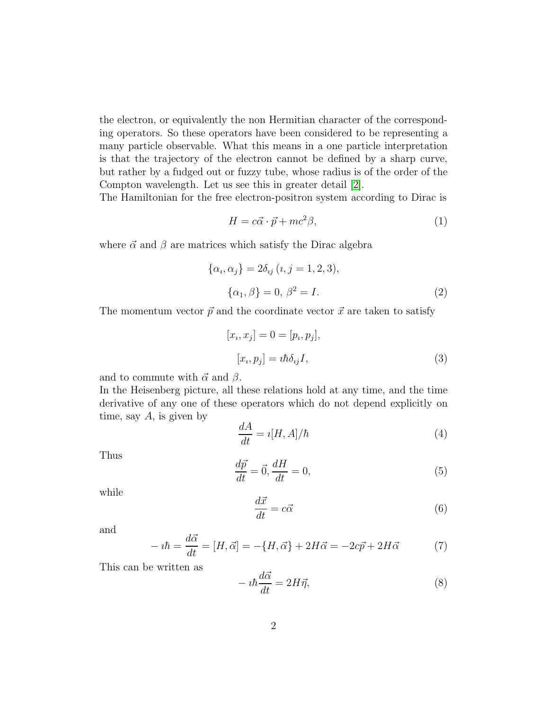the electron, or equivalently the non Hermitian character of the corresponding operators. So these operators have been considered to be representing a many particle observable. What this means in a one particle interpretation is that the trajectory of the electron cannot be defined by a sharp curve, but rather by a fudged out or fuzzy tube, whose radius is of the order of the Compton wavelength. Let us see this in greater detail [\[2\]](#page-11-1).

The Hamiltonian for the free electron-positron system according to Dirac is

$$
H = c\vec{\alpha} \cdot \vec{p} + mc^2 \beta,
$$
\n<sup>(1)</sup>

where  $\vec{\alpha}$  and  $\beta$  are matrices which satisfy the Dirac algebra

$$
\{\alpha_i, \alpha_j\} = 2\delta_{ij} \ (i, j = 1, 2, 3),
$$

$$
\{\alpha_1, \beta\} = 0, \ \beta^2 = I.
$$
 (2)

The momentum vector  $\vec{p}$  and the coordinate vector  $\vec{x}$  are taken to satisfy

$$
[x_i, x_j] = 0 = [p_i, p_j],
$$
  

$$
[x_i, p_j] = i\hbar \delta_{ij} I,
$$
\n(3)

and to commute with  $\vec{\alpha}$  and  $\beta$ .

In the Heisenberg picture, all these relations hold at any time, and the time derivative of any one of these operators which do not depend explicitly on time, say  $A$ , is given by

$$
\frac{dA}{dt} = i[H, A]/\hbar \tag{4}
$$

Thus

$$
\frac{d\vec{p}}{dt} = \vec{0}, \frac{dH}{dt} = 0,\tag{5}
$$

while

$$
\frac{d\vec{x}}{dt} = c\vec{\alpha} \tag{6}
$$

and

<span id="page-1-0"></span>
$$
-i\hbar = \frac{d\vec{\alpha}}{dt} = [H, \vec{\alpha}] = -\{H, \vec{\alpha}\} + 2H\vec{\alpha} = -2c\vec{p} + 2H\vec{\alpha}
$$
 (7)

This can be written as

$$
-i\hbar \frac{d\vec{\alpha}}{dt} = 2H\vec{\eta},\tag{8}
$$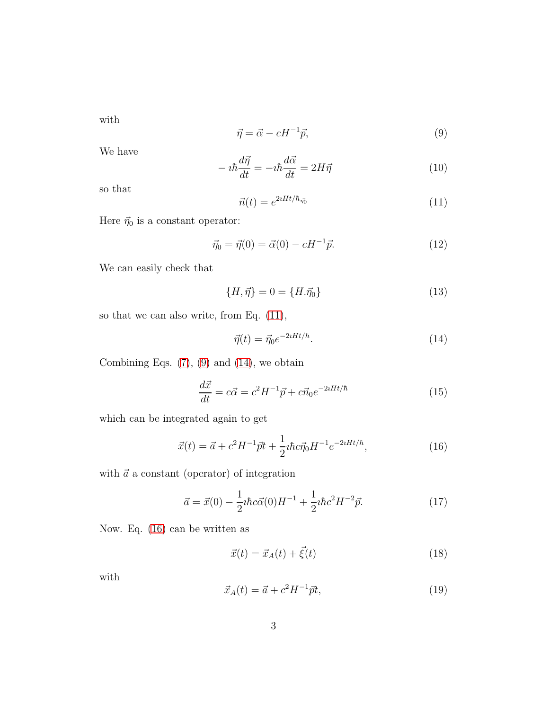with

<span id="page-2-1"></span>
$$
\vec{\eta} = \vec{\alpha} - cH^{-1}\vec{p},\tag{9}
$$

We have

$$
-i\hbar \frac{d\vec{\eta}}{dt} = -i\hbar \frac{d\vec{\alpha}}{dt} = 2H\vec{\eta}
$$
\n(10)

so that

<span id="page-2-0"></span>
$$
\vec{n}(t) = e^{2iHt/\hbar_{\eta_0^*}}
$$
\n(11)

Here  $\vec{\eta}_0$  is a constant operator:

$$
\vec{\eta}_0 = \vec{\eta}(0) = \vec{\alpha}(0) - cH^{-1}\vec{p}.
$$
\n(12)

We can easily check that

$$
\{H, \vec{\eta}\} = 0 = \{H. \vec{\eta}_0\}
$$
\n(13)

so that we can also write, from Eq. [\(11\)](#page-2-0),

<span id="page-2-2"></span>
$$
\vec{\eta}(t) = \vec{\eta}_0 e^{-2iHt/\hbar}.\tag{14}
$$

Combining Eqs.  $(7)$ ,  $(9)$  and  $(14)$ , we obtain

<span id="page-2-6"></span>
$$
\frac{d\vec{x}}{dt} = c\vec{\alpha} = c^2 H^{-1} \vec{p} + c\vec{n}_0 e^{-2iHt/\hbar}
$$
\n(15)

which can be integrated again to get

<span id="page-2-3"></span>
$$
\vec{x}(t) = \vec{a} + c^2 H^{-1} \vec{p} t + \frac{1}{2} i \hbar c \vec{\eta}_0 H^{-1} e^{-2iHt/\hbar}, \qquad (16)
$$

with  $\vec{a}$  a constant (operator) of integration

<span id="page-2-5"></span>
$$
\vec{a} = \vec{x}(0) - \frac{1}{2}i\hbar c\vec{\alpha}(0)H^{-1} + \frac{1}{2}i\hbar c^2 H^{-2}\vec{p}.
$$
 (17)

Now. Eq. [\(16\)](#page-2-3) can be written as

$$
\vec{x}(t) = \vec{x}_A(t) + \vec{\xi}(t) \tag{18}
$$

with

<span id="page-2-4"></span>
$$
\vec{x}_A(t) = \vec{a} + c^2 H^{-1} \vec{p} t,\tag{19}
$$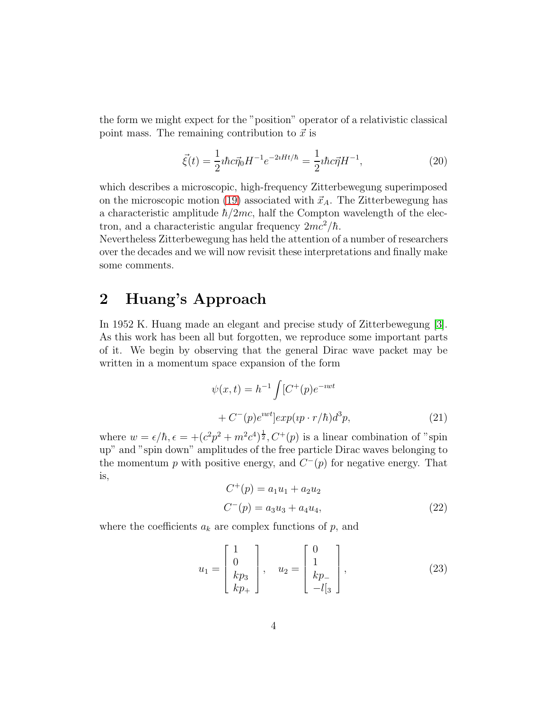the form we might expect for the "position" operator of a relativistic classical point mass. The remaining contribution to  $\vec{x}$  is

$$
\vec{\xi}(t) = \frac{1}{2} i\hbar c \vec{\eta}_0 H^{-1} e^{-2iHt/\hbar} = \frac{1}{2} i\hbar c \vec{\eta} H^{-1},\tag{20}
$$

which describes a microscopic, high-frequency Zitterbewegung superimposed on the microscopic motion [\(19\)](#page-2-4) associated with  $\vec{x}_A$ . The Zitterbewegung has a characteristic amplitude  $\hbar/2mc$ , half the Compton wavelength of the electron, and a characteristic angular frequency  $2mc^2/\hbar$ .

Nevertheless Zitterbewegung has held the attention of a number of researchers over the decades and we will now revisit these interpretations and finally make some comments.

## 2 Huang's Approach

In 1952 K. Huang made an elegant and precise study of Zitterbewegung [\[3\]](#page-11-2). As this work has been all but forgotten, we reproduce some important parts of it. We begin by observing that the general Dirac wave packet may be written in a momentum space expansion of the form

$$
\psi(x,t) = h^{-1} \int [C^+(p)e^{-iwt}
$$
  
+ 
$$
C^-(p)e^{iwt}] exp(ip \cdot r/\hbar) d^3p,
$$
 (21)

where  $w = \epsilon/\hbar, \epsilon = +(c^2p^2 + m^2c^4)^{\frac{1}{2}}$ ,  $C^+(p)$  is a linear combination of "spin" up" and "spin down" amplitudes of the free particle Dirac waves belonging to the momentum p with positive energy, and  $C^-(p)$  for negative energy. That is,

<span id="page-3-0"></span>
$$
C^{+}(p) = a_1 u_1 + a_2 u_2
$$
  
\n
$$
C^{-}(p) = a_3 u_3 + a_4 u_4,
$$
\n(22)

where the coefficients  $a_k$  are complex functions of  $p$ , and

$$
u_1 = \begin{bmatrix} 1 \\ 0 \\ kp_3 \\ kp_+ \end{bmatrix}, \quad u_2 = \begin{bmatrix} 0 \\ 1 \\ kp_- \\ -l\end{bmatrix}, \tag{23}
$$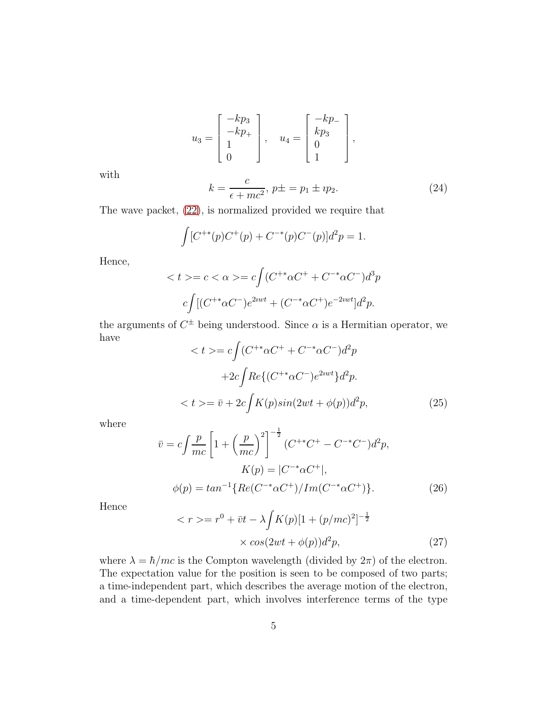$$
u_3 = \begin{bmatrix} -kp_3 \\ -kp_+ \\ 1 \\ 0 \end{bmatrix}, \quad u_4 = \begin{bmatrix} -kp_- \\ kp_3 \\ 0 \\ 1 \end{bmatrix},
$$

with

$$
k = \frac{c}{\epsilon + mc^2}, \ p \pm = p_1 \pm i p_2. \tag{24}
$$

The wave packet, [\(22\)](#page-3-0), is normalized provided we require that

$$
\int [C^{+*}(p)C^+(p) + C^{-*}(p)C^-(p)]d^2p = 1.
$$

Hence,

$$
\langle t \rangle = c \langle \alpha \rangle = c \int (C^{+*} \alpha C^{+} + C^{-*} \alpha C^{-}) d^{3} p
$$

$$
c \int [(C^{+*} \alpha C^{-})e^{2iwt} + (C^{-*} \alpha C^{+})e^{-2iwt}] d^{2} p.
$$

the arguments of  $C^{\pm}$  being understood. Since  $\alpha$  is a Hermitian operator, we have

$$
\langle t \rangle = c \int (C^{+*} \alpha C^{+} + C^{-*} \alpha C^{-}) d^{2} p
$$

$$
+ 2c \int Re \{ (C^{+*} \alpha C^{-}) e^{2iwt} \} d^{2} p.
$$

$$
\langle t \rangle = \bar{v} + 2c \int K(p) sin(2wt + \phi(p)) d^{2} p,
$$
(25)

where

$$
\bar{v} = c \int \frac{p}{mc} \left[ 1 + \left(\frac{p}{mc}\right)^2 \right]^{-\frac{1}{2}} (C^{+*}C^+ - C^{-*}C^-)d^2p,
$$
  
\n
$$
K(p) = |C^{-*}\alpha C^+|,
$$
  
\n
$$
\phi(p) = \tan^{-1} \{ Re(C^{-*}\alpha C^+) / Im(C^{-*}\alpha C^+) \}.
$$
\n(26)

Hence

 $\,<$ 

$$
r \gg = r^{0} + \bar{v}t - \lambda \int K(p)[1 + (p/mc)^{2}]^{-\frac{1}{2}}
$$

$$
\times \cos(2wt + \phi(p))d^{2}p,
$$
 (27)

where  $\lambda = \hbar/mc$  is the Compton wavelength (divided by  $2\pi$ ) of the electron. The expectation value for the position is seen to be composed of two parts; a time-independent part, which describes the average motion of the electron, and a time-dependent part, which involves interference terms of the type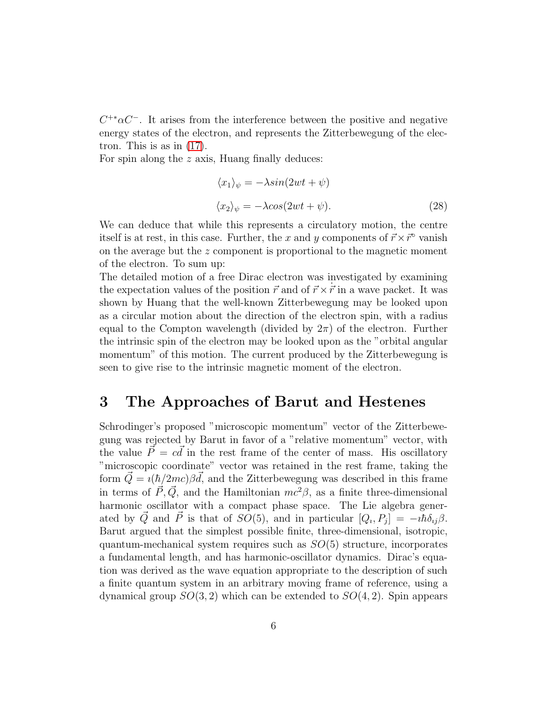$C^{+*}\alpha C^-$ . It arises from the interference between the positive and negative energy states of the electron, and represents the Zitterbewegung of the electron. This is as in [\(17\)](#page-2-5).

For spin along the  $z$  axis, Huang finally deduces:

<span id="page-5-0"></span>
$$
\langle x_1 \rangle_{\psi} = -\lambda \sin(2\omega t + \psi)
$$
  

$$
\langle x_2 \rangle_{\psi} = -\lambda \cos(2\omega t + \psi).
$$
 (28)

We can deduce that while this represents a circulatory motion, the centre itself is at rest, in this case. Further, the x and y components of  $\vec{r} \times \vec{r}~$  vanish on the average but the z component is proportional to the magnetic moment of the electron. To sum up:

The detailed motion of a free Dirac electron was investigated by examining the expectation values of the position  $\vec{r}$  and of  $\vec{r} \times \vec{r}$  in a wave packet. It was shown by Huang that the well-known Zitterbewegung may be looked upon as a circular motion about the direction of the electron spin, with a radius equal to the Compton wavelength (divided by  $2\pi$ ) of the electron. Further the intrinsic spin of the electron may be looked upon as the "orbital angular momentum" of this motion. The current produced by the Zitterbewegung is seen to give rise to the intrinsic magnetic moment of the electron.

## 3 The Approaches of Barut and Hestenes

Schrodinger's proposed "microscopic momentum" vector of the Zitterbewegung was rejected by Barut in favor of a "relative momentum" vector, with the value  $\vec{P} = c\vec{d}$  in the rest frame of the center of mass. His oscillatory "microscopic coordinate" vector was retained in the rest frame, taking the form  $\vec{Q} = \iota(\hbar/2mc)\beta \vec{d}$ , and the Zitterbewegung was described in this frame in terms of  $\vec{P}, \vec{Q}$ , and the Hamiltonian  $mc^2\beta$ , as a finite three-dimensional harmonic oscillator with a compact phase space. The Lie algebra generated by  $\vec{Q}$  and  $\vec{P}$  is that of  $SO(5)$ , and in particular  $[Q_i, P_j] = -i\hbar \delta_{ij}\beta$ . Barut argued that the simplest possible finite, three-dimensional, isotropic, quantum-mechanical system requires such as  $SO(5)$  structure, incorporates a fundamental length, and has harmonic-oscillator dynamics. Dirac's equation was derived as the wave equation appropriate to the description of such a finite quantum system in an arbitrary moving frame of reference, using a dynamical group  $SO(3, 2)$  which can be extended to  $SO(4, 2)$ . Spin appears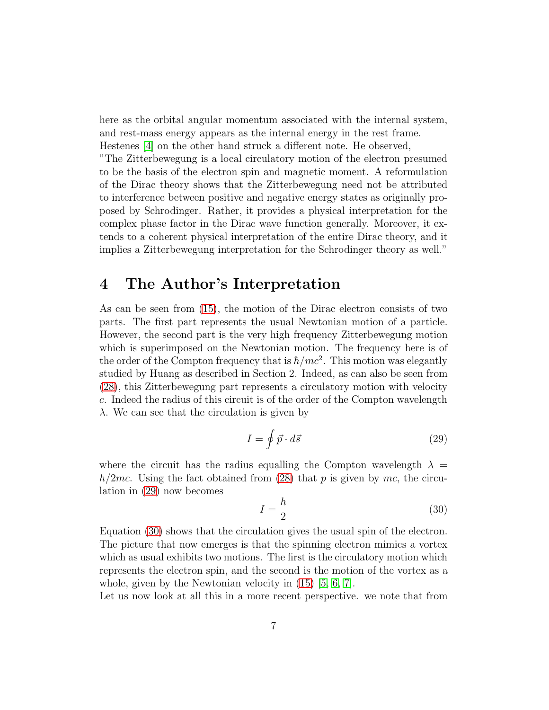here as the orbital angular momentum associated with the internal system, and rest-mass energy appears as the internal energy in the rest frame. Hestenes [\[4\]](#page-11-3) on the other hand struck a different note. He observed,

"The Zitterbewegung is a local circulatory motion of the electron presumed to be the basis of the electron spin and magnetic moment. A reformulation of the Dirac theory shows that the Zitterbewegung need not be attributed to interference between positive and negative energy states as originally proposed by Schrodinger. Rather, it provides a physical interpretation for the complex phase factor in the Dirac wave function generally. Moreover, it extends to a coherent physical interpretation of the entire Dirac theory, and it implies a Zitterbewegung interpretation for the Schrodinger theory as well."

## 4 The Author's Interpretation

As can be seen from [\(15\)](#page-2-6), the motion of the Dirac electron consists of two parts. The first part represents the usual Newtonian motion of a particle. However, the second part is the very high frequency Zitterbewegung motion which is superimposed on the Newtonian motion. The frequency here is of the order of the Compton frequency that is  $\hbar/mc^2$ . This motion was elegantly studied by Huang as described in Section 2. Indeed, as can also be seen from [\(28\)](#page-5-0), this Zitterbewegung part represents a circulatory motion with velocity c. Indeed the radius of this circuit is of the order of the Compton wavelength  $\lambda$ . We can see that the circulation is given by

<span id="page-6-0"></span>
$$
I = \oint \vec{p} \cdot d\vec{s} \tag{29}
$$

where the circuit has the radius equalling the Compton wavelength  $\lambda =$  $h/2mc$ . Using the fact obtained from [\(28\)](#page-5-0) that p is given by mc, the circulation in [\(29\)](#page-6-0) now becomes

<span id="page-6-1"></span>
$$
I = \frac{h}{2} \tag{30}
$$

Equation [\(30\)](#page-6-1) shows that the circulation gives the usual spin of the electron. The picture that now emerges is that the spinning electron mimics a vortex which as usual exhibits two motions. The first is the circulatory motion which represents the electron spin, and the second is the motion of the vortex as a whole, given by the Newtonian velocity in [\(15\)](#page-2-6) [\[5,](#page-11-4) [6,](#page-11-5) [7\]](#page-11-6).

Let us now look at all this in a more recent perspective. we note that from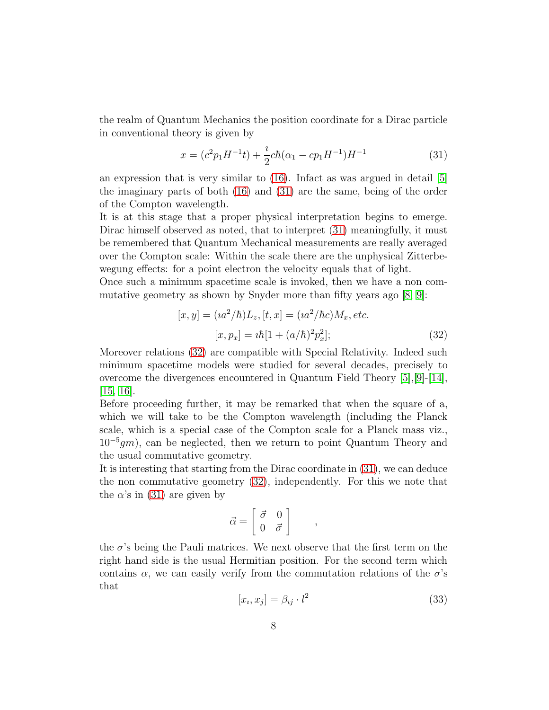the realm of Quantum Mechanics the position coordinate for a Dirac particle in conventional theory is given by

<span id="page-7-0"></span>
$$
x = (c^2 p_1 H^{-1} t) + \frac{i}{2} c \hbar (\alpha_1 - c p_1 H^{-1}) H^{-1}
$$
\n(31)

an expression that is very similar to  $(16)$ . Infact as was argued in detail [\[5\]](#page-11-4) the imaginary parts of both [\(16\)](#page-2-3) and [\(31\)](#page-7-0) are the same, being of the order of the Compton wavelength.

It is at this stage that a proper physical interpretation begins to emerge. Dirac himself observed as noted, that to interpret [\(31\)](#page-7-0) meaningfully, it must be remembered that Quantum Mechanical measurements are really averaged over the Compton scale: Within the scale there are the unphysical Zitterbewegung effects: for a point electron the velocity equals that of light.

Once such a minimum spacetime scale is invoked, then we have a non commutative geometry as shown by Snyder more than fifty years ago [\[8,](#page-11-7) [9\]](#page-11-8):

<span id="page-7-1"></span>
$$
[x, y] = (ia^2/\hbar)L_z, [t, x] = (ia^2/\hbar c)M_x, etc.
$$

$$
[x, p_x] = i\hbar[1 + (a/\hbar)^2 p_x^2];
$$
(32)

Moreover relations [\(32\)](#page-7-1) are compatible with Special Relativity. Indeed such minimum spacetime models were studied for several decades, precisely to overcome the divergences encountered in Quantum Field Theory [\[5\]](#page-11-4),[\[9\]](#page-11-8)-[\[14\]](#page-12-0), [\[15,](#page-12-1) [16\]](#page-12-2).

Before proceeding further, it may be remarked that when the square of a, which we will take to be the Compton wavelength (including the Planck scale, which is a special case of the Compton scale for a Planck mass viz., 10<sup>−</sup><sup>5</sup> gm), can be neglected, then we return to point Quantum Theory and the usual commutative geometry.

It is interesting that starting from the Dirac coordinate in [\(31\)](#page-7-0), we can deduce the non commutative geometry [\(32\)](#page-7-1), independently. For this we note that the  $\alpha$ 's in [\(31\)](#page-7-0) are given by

$$
\vec{\alpha} = \left[ \begin{array}{cc} \vec{\sigma} & 0 \\ 0 & \vec{\sigma} \end{array} \right]
$$

the  $\sigma$ 's being the Pauli matrices. We next observe that the first term on the right hand side is the usual Hermitian position. For the second term which contains  $\alpha$ , we can easily verify from the commutation relations of the  $\sigma$ 's that

<span id="page-7-2"></span>
$$
[x_i, x_j] = \beta_{ij} \cdot l^2 \tag{33}
$$

,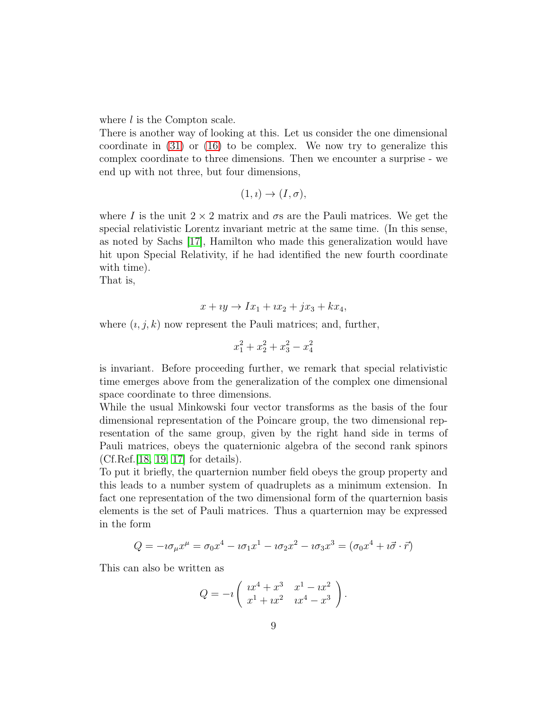where *l* is the Compton scale.

There is another way of looking at this. Let us consider the one dimensional coordinate in [\(31\)](#page-7-0) or [\(16\)](#page-2-3) to be complex. We now try to generalize this complex coordinate to three dimensions. Then we encounter a surprise - we end up with not three, but four dimensions,

$$
(1, i) \rightarrow (I, \sigma),
$$

where I is the unit  $2 \times 2$  matrix and  $\sigma s$  are the Pauli matrices. We get the special relativistic Lorentz invariant metric at the same time. (In this sense, as noted by Sachs [\[17\]](#page-12-3), Hamilton who made this generalization would have hit upon Special Relativity, if he had identified the new fourth coordinate with time).

That is,

$$
x + iy \rightarrow Ix_1 + ix_2 + jx_3 + kx_4,
$$

where  $(i, j, k)$  now represent the Pauli matrices; and, further,

$$
x_1^2 + x_2^2 + x_3^2 - x_4^2
$$

is invariant. Before proceeding further, we remark that special relativistic time emerges above from the generalization of the complex one dimensional space coordinate to three dimensions.

While the usual Minkowski four vector transforms as the basis of the four dimensional representation of the Poincare group, the two dimensional representation of the same group, given by the right hand side in terms of Pauli matrices, obeys the quaternionic algebra of the second rank spinors (Cf.Ref.[\[18,](#page-12-4) [19,](#page-12-5) [17\]](#page-12-3) for details).

To put it briefly, the quarternion number field obeys the group property and this leads to a number system of quadruplets as a minimum extension. In fact one representation of the two dimensional form of the quarternion basis elements is the set of Pauli matrices. Thus a quarternion may be expressed in the form

$$
Q = -i\sigma_{\mu}x^{\mu} = \sigma_{0}x^{4} - i\sigma_{1}x^{1} - i\sigma_{2}x^{2} - i\sigma_{3}x^{3} = (\sigma_{0}x^{4} + i\vec{\sigma} \cdot \vec{r})
$$

This can also be written as

$$
Q = -i \begin{pmatrix} x^4 + x^3 & x^1 - ix^2 \\ x^1 + ix^2 & ix^4 - x^3 \end{pmatrix}.
$$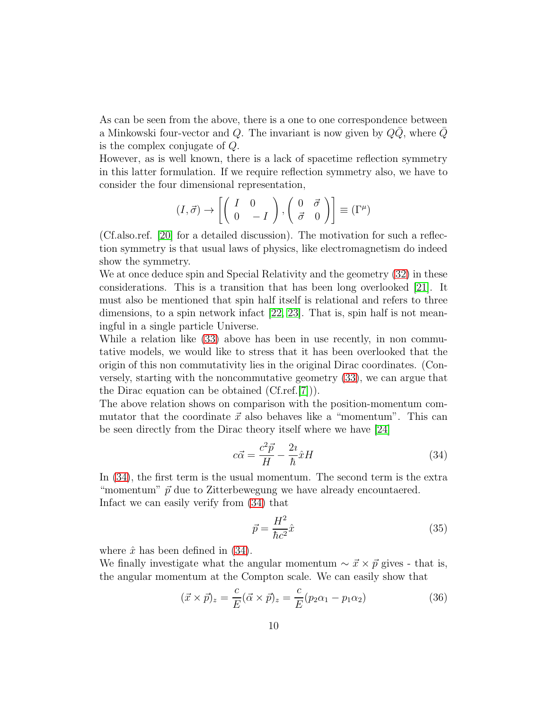As can be seen from the above, there is a one to one correspondence between a Minkowski four-vector and Q. The invariant is now given by  $QQ$ , where Q is the complex conjugate of Q.

However, as is well known, there is a lack of spacetime reflection symmetry in this latter formulation. If we require reflection symmetry also, we have to consider the four dimensional representation,

$$
(I, \vec{\sigma}) \rightarrow \left[ \left( \begin{array}{cc} I & 0 \\ 0 & -I \end{array} \right), \left( \begin{array}{cc} 0 & \vec{\sigma} \\ \vec{\sigma} & 0 \end{array} \right) \right] \equiv (\Gamma^{\mu})
$$

(Cf.also.ref. [\[20\]](#page-12-6) for a detailed discussion). The motivation for such a reflection symmetry is that usual laws of physics, like electromagnetism do indeed show the symmetry.

We at once deduce spin and Special Relativity and the geometry [\(32\)](#page-7-1) in these considerations. This is a transition that has been long overlooked [\[21\]](#page-12-7). It must also be mentioned that spin half itself is relational and refers to three dimensions, to a spin network infact [\[22,](#page-12-8) [23\]](#page-12-9). That is, spin half is not meaningful in a single particle Universe.

While a relation like [\(33\)](#page-7-2) above has been in use recently, in non commutative models, we would like to stress that it has been overlooked that the origin of this non commutativity lies in the original Dirac coordinates. (Conversely, starting with the noncommutative geometry [\(33\)](#page-7-2), we can argue that the Dirac equation can be obtained (Cf.ref.[\[7\]](#page-11-6))).

The above relation shows on comparison with the position-momentum commutator that the coordinate  $\vec{x}$  also behaves like a "momentum". This can be seen directly from the Dirac theory itself where we have [\[24\]](#page-12-10)

<span id="page-9-0"></span>
$$
c\vec{\alpha} = \frac{c^2\vec{p}}{H} - \frac{2i}{\hbar}\hat{x}H\tag{34}
$$

In [\(34\)](#page-9-0), the first term is the usual momentum. The second term is the extra "momentum"  $\vec{p}$  due to Zitterbewegung we have already encountaered. Infact we can easily verify from [\(34\)](#page-9-0) that

$$
\vec{p} = \frac{H^2}{\hbar c^2} \hat{x}
$$
\n(35)

where  $\hat{x}$  has been defined in [\(34\)](#page-9-0).

We finally investigate what the angular momentum  $\sim \vec{x} \times \vec{p}$  gives - that is, the angular momentum at the Compton scale. We can easily show that

<span id="page-9-1"></span>
$$
(\vec{x} \times \vec{p})_z = \frac{c}{E} (\vec{\alpha} \times \vec{p})_z = \frac{c}{E} (p_2 \alpha_1 - p_1 \alpha_2)
$$
 (36)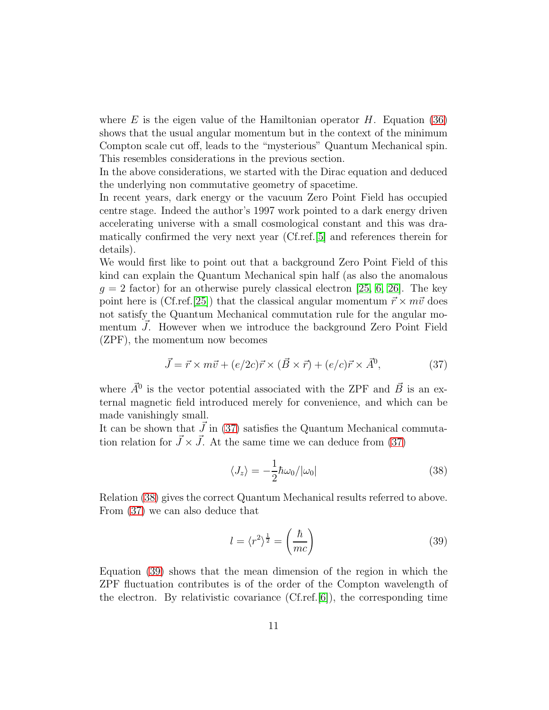where E is the eigen value of the Hamiltonian operator  $H$ . Equation [\(36\)](#page-9-1) shows that the usual angular momentum but in the context of the minimum Compton scale cut off, leads to the "mysterious" Quantum Mechanical spin. This resembles considerations in the previous section.

In the above considerations, we started with the Dirac equation and deduced the underlying non commutative geometry of spacetime.

In recent years, dark energy or the vacuum Zero Point Field has occupied centre stage. Indeed the author's 1997 work pointed to a dark energy driven accelerating universe with a small cosmological constant and this was dramatically confirmed the very next year (Cf.ref.[\[5\]](#page-11-4) and references therein for details).

We would first like to point out that a background Zero Point Field of this kind can explain the Quantum Mechanical spin half (as also the anomalous  $g = 2$  factor) for an otherwise purely classical electron [\[25,](#page-12-11) [6,](#page-11-5) [26\]](#page-12-12). The key point here is (Cf.ref.[\[25\]](#page-12-11)) that the classical angular momentum  $\vec{r} \times m\vec{v}$  does not satisfy the Quantum Mechanical commutation rule for the angular momentum  $\tilde{J}$ . However when we introduce the background Zero Point Field (ZPF), the momentum now becomes

<span id="page-10-0"></span>
$$
\vec{J} = \vec{r} \times m\vec{v} + (e/2c)\vec{r} \times (\vec{B} \times \vec{r}) + (e/c)\vec{r} \times \vec{A}^0,\tag{37}
$$

where  $\vec{A}^0$  is the vector potential associated with the ZPF and  $\vec{B}$  is an external magnetic field introduced merely for convenience, and which can be made vanishingly small.

It can be shown that  $\vec{J}$  in [\(37\)](#page-10-0) satisfies the Quantum Mechanical commutation relation for  $\vec{J} \times \vec{J}$ . At the same time we can deduce from [\(37\)](#page-10-0)

<span id="page-10-1"></span>
$$
\langle J_z \rangle = -\frac{1}{2} \hbar \omega_0 / |\omega_0| \tag{38}
$$

Relation [\(38\)](#page-10-1) gives the correct Quantum Mechanical results referred to above. From [\(37\)](#page-10-0) we can also deduce that

<span id="page-10-2"></span>
$$
l = \langle r^2 \rangle^{\frac{1}{2}} = \left(\frac{\hbar}{mc}\right) \tag{39}
$$

Equation [\(39\)](#page-10-2) shows that the mean dimension of the region in which the ZPF fluctuation contributes is of the order of the Compton wavelength of the electron. By relativistic covariance  $(CF.ref. [6])$  $(CF.ref. [6])$  $(CF.ref. [6])$ , the corresponding time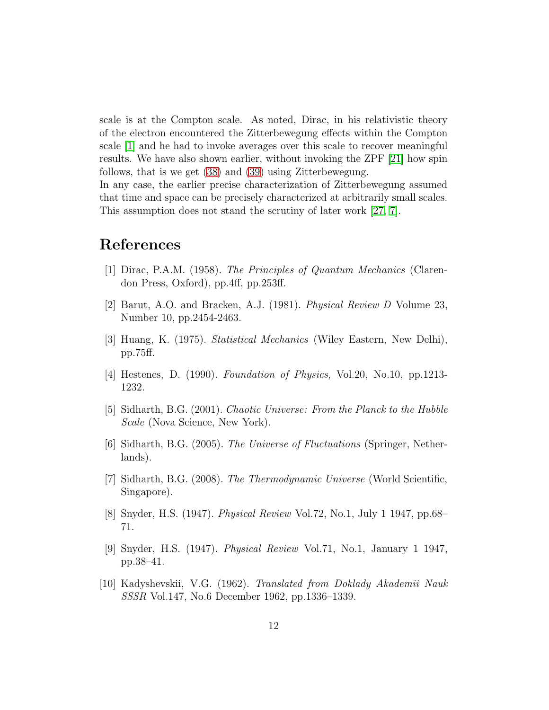scale is at the Compton scale. As noted, Dirac, in his relativistic theory of the electron encountered the Zitterbewegung effects within the Compton scale [\[1\]](#page-11-0) and he had to invoke averages over this scale to recover meaningful results. We have also shown earlier, without invoking the ZPF [\[21\]](#page-12-7) how spin follows, that is we get [\(38\)](#page-10-1) and [\(39\)](#page-10-2) using Zitterbewegung.

In any case, the earlier precise characterization of Zitterbewegung assumed that time and space can be precisely characterized at arbitrarily small scales. This assumption does not stand the scrutiny of later work [\[27,](#page-13-0) [7\]](#page-11-6).

### <span id="page-11-0"></span>References

- <span id="page-11-1"></span>[1] Dirac, P.A.M. (1958). *The Principles of Quantum Mechanics* (Clarendon Press, Oxford), pp.4ff, pp.253ff.
- <span id="page-11-2"></span>[2] Barut, A.O. and Bracken, A.J. (1981). *Physical Review D* Volume 23, Number 10, pp.2454-2463.
- <span id="page-11-3"></span>[3] Huang, K. (1975). *Statistical Mechanics* (Wiley Eastern, New Delhi), pp.75ff.
- <span id="page-11-4"></span>[4] Hestenes, D. (1990). *Foundation of Physics*, Vol.20, No.10, pp.1213- 1232.
- <span id="page-11-5"></span>[5] Sidharth, B.G. (2001). *Chaotic Universe: From the Planck to the Hubble Scale* (Nova Science, New York).
- [6] Sidharth, B.G. (2005). *The Universe of Fluctuations* (Springer, Netherlands).
- <span id="page-11-6"></span>[7] Sidharth, B.G. (2008). *The Thermodynamic Universe* (World Scientific, Singapore).
- <span id="page-11-8"></span><span id="page-11-7"></span>[8] Snyder, H.S. (1947). *Physical Review* Vol.72, No.1, July 1 1947, pp.68– 71.
- [9] Snyder, H.S. (1947). *Physical Review* Vol.71, No.1, January 1 1947, pp.38–41.
- [10] Kadyshevskii, V.G. (1962). *Translated from Doklady Akademii Nauk SSSR* Vol.147, No.6 December 1962, pp.1336–1339.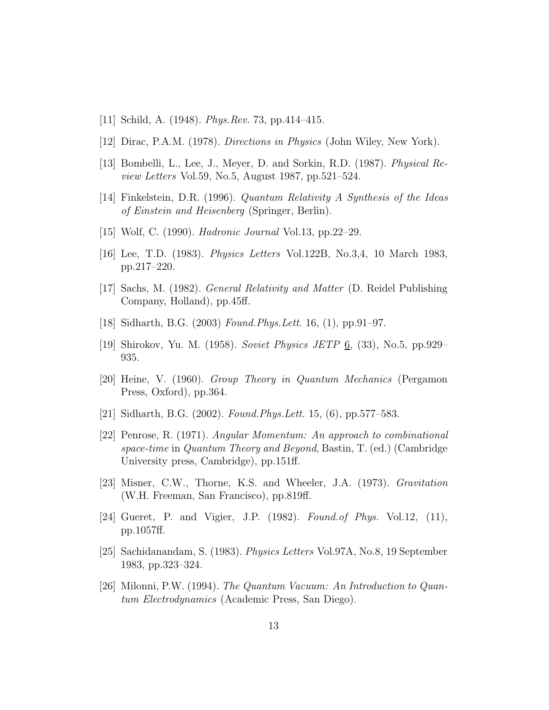- [11] Schild, A. (1948). *Phys.Rev.* 73, pp.414–415.
- [12] Dirac, P.A.M. (1978). *Directions in Physics* (John Wiley, New York).
- <span id="page-12-0"></span>[13] Bombelli, L., Lee, J., Meyer, D. and Sorkin, R.D. (1987). *Physical Review Letters* Vol.59, No.5, August 1987, pp.521–524.
- <span id="page-12-1"></span>[14] Finkelstein, D.R. (1996). *Quantum Relativity A Synthesis of the Ideas of Einstein and Heisenberg* (Springer, Berlin).
- <span id="page-12-2"></span>[15] Wolf, C. (1990). *Hadronic Journal* Vol.13, pp.22–29.
- <span id="page-12-3"></span>[16] Lee, T.D. (1983). *Physics Letters* Vol.122B, No.3,4, 10 March 1983, pp.217–220.
- <span id="page-12-4"></span>[17] Sachs, M. (1982). *General Relativity and Matter* (D. Reidel Publishing Company, Holland), pp.45ff.
- <span id="page-12-5"></span>[18] Sidharth, B.G. (2003) *Found.Phys.Lett.* 16, (1), pp.91–97.
- <span id="page-12-6"></span>[19] Shirokov, Yu. M. (1958). *Soviet Physics JETP* 6, (33), No.5, pp.929– 935.
- [20] Heine, V. (1960). *Group Theory in Quantum Mechanics* (Pergamon Press, Oxford), pp.364.
- <span id="page-12-8"></span><span id="page-12-7"></span>[21] Sidharth, B.G. (2002). *Found.Phys.Lett.* 15, (6), pp.577–583.
- [22] Penrose, R. (1971). *Angular Momentum: An approach to combinational space-time* in *Quantum Theory and Beyond*, Bastin, T. (ed.) (Cambridge University press, Cambridge), pp.151ff.
- <span id="page-12-9"></span>[23] Misner, C.W., Thorne, K.S. and Wheeler, J.A. (1973). *Gravitation* (W.H. Freeman, San Francisco), pp.819ff.
- <span id="page-12-10"></span>[24] Gueret, P. and Vigier, J.P. (1982). *Found.of Phys.* Vol.12, (11), pp.1057ff.
- <span id="page-12-11"></span>[25] Sachidanandam, S. (1983). *Physics Letters* Vol.97A, No.8, 19 September 1983, pp.323–324.
- <span id="page-12-12"></span>[26] Milonni, P.W. (1994). *The Quantum Vacuum: An Introduction to Quantum Electrodynamics* (Academic Press, San Diego).